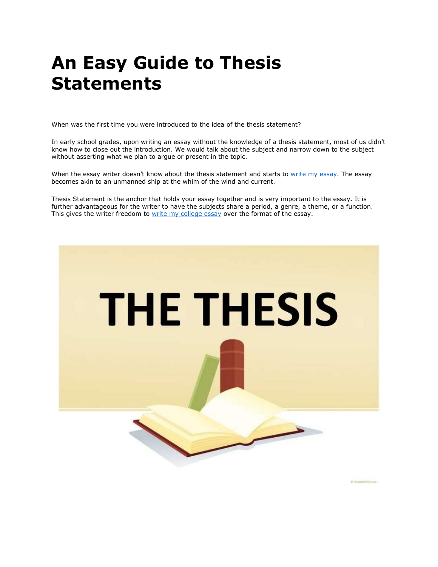# **An Easy Guide to Thesis Statements**

When was the first time you were introduced to the idea of the thesis statement?

In early school grades, upon writing an essay without the knowledge of a thesis statement, most of us didn't know how to close out the introduction. We would talk about the subject and narrow down to the subject without asserting what we plan to argue or present in the topic.

When the essay writer doesn't know about the thesis statement and starts to [write my essay.](https://writemyessayfast.net/) The essay becomes akin to an unmanned ship at the whim of the wind and current.

Thesis Statement is the anchor that holds your essay together and is very important to the essay. It is further advantageous for the writer to have the subjects share a period, a genre, a theme, or a function. This gives the writer freedom to [write my college essay](https://writemyessayfast.net/) over the format of the essay.



D Templates Who imm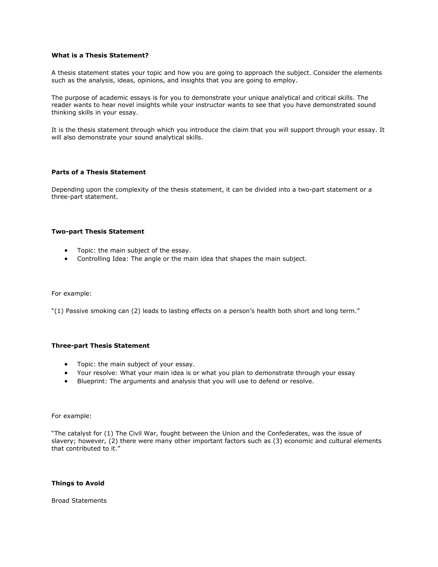# **What is a Thesis Statement?**

A thesis statement states your topic and how you are going to approach the subject. Consider the elements such as the analysis, ideas, opinions, and insights that you are going to employ.

The purpose of academic essays is for you to demonstrate your unique analytical and critical skills. The reader wants to hear novel insights while your instructor wants to see that you have demonstrated sound thinking skills in your essay.

It is the thesis statement through which you introduce the claim that you will support through your essay. It will also demonstrate your sound analytical skills.

## **Parts of a Thesis Statement**

Depending upon the complexity of the thesis statement, it can be divided into a two-part statement or a three-part statement.

## **Two-part Thesis Statement**

- Topic: the main subject of the essay.
- Controlling Idea: The angle or the main idea that shapes the main subject.

For example:

"(1) Passive smoking can (2) leads to lasting effects on a person's health both short and long term."

### **Three-part Thesis Statement**

- Topic: the main subject of your essay.
- Your resolve: What your main idea is or what you plan to demonstrate through your essay
- Blueprint: The arguments and analysis that you will use to defend or resolve.

For example:

"The catalyst for (1) The Civil War, fought between the Union and the Confederates, was the issue of slavery; however, (2) there were many other important factors such as (3) economic and cultural elements that contributed to it."

### **Things to Avoid**

Broad Statements